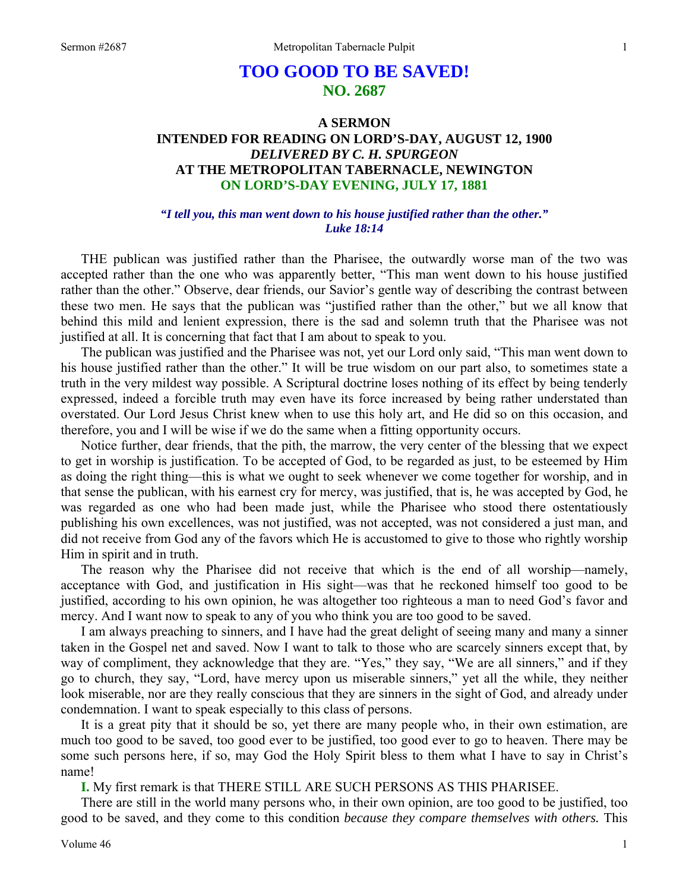# **TOO GOOD TO BE SAVED! NO. 2687**

## **A SERMON INTENDED FOR READING ON LORD'S-DAY, AUGUST 12, 1900**  *DELIVERED BY C. H. SPURGEON*  **AT THE METROPOLITAN TABERNACLE, NEWINGTON ON LORD'S-DAY EVENING, JULY 17, 1881**

#### *"I tell you, this man went down to his house justified rather than the other." Luke 18:14*

THE publican was justified rather than the Pharisee, the outwardly worse man of the two was accepted rather than the one who was apparently better, "This man went down to his house justified rather than the other." Observe, dear friends, our Savior's gentle way of describing the contrast between these two men. He says that the publican was "justified rather than the other," but we all know that behind this mild and lenient expression, there is the sad and solemn truth that the Pharisee was not justified at all. It is concerning that fact that I am about to speak to you.

The publican was justified and the Pharisee was not, yet our Lord only said, "This man went down to his house justified rather than the other." It will be true wisdom on our part also, to sometimes state a truth in the very mildest way possible. A Scriptural doctrine loses nothing of its effect by being tenderly expressed, indeed a forcible truth may even have its force increased by being rather understated than overstated. Our Lord Jesus Christ knew when to use this holy art, and He did so on this occasion, and therefore, you and I will be wise if we do the same when a fitting opportunity occurs.

Notice further, dear friends, that the pith, the marrow, the very center of the blessing that we expect to get in worship is justification. To be accepted of God, to be regarded as just, to be esteemed by Him as doing the right thing—this is what we ought to seek whenever we come together for worship, and in that sense the publican, with his earnest cry for mercy, was justified, that is, he was accepted by God, he was regarded as one who had been made just, while the Pharisee who stood there ostentatiously publishing his own excellences, was not justified, was not accepted, was not considered a just man, and did not receive from God any of the favors which He is accustomed to give to those who rightly worship Him in spirit and in truth.

The reason why the Pharisee did not receive that which is the end of all worship—namely, acceptance with God, and justification in His sight—was that he reckoned himself too good to be justified, according to his own opinion, he was altogether too righteous a man to need God's favor and mercy. And I want now to speak to any of you who think you are too good to be saved.

I am always preaching to sinners, and I have had the great delight of seeing many and many a sinner taken in the Gospel net and saved. Now I want to talk to those who are scarcely sinners except that, by way of compliment, they acknowledge that they are. "Yes," they say, "We are all sinners," and if they go to church, they say, "Lord, have mercy upon us miserable sinners," yet all the while, they neither look miserable, nor are they really conscious that they are sinners in the sight of God, and already under condemnation. I want to speak especially to this class of persons.

It is a great pity that it should be so, yet there are many people who, in their own estimation, are much too good to be saved, too good ever to be justified, too good ever to go to heaven. There may be some such persons here, if so, may God the Holy Spirit bless to them what I have to say in Christ's name!

**I.** My first remark is that THERE STILL ARE SUCH PERSONS AS THIS PHARISEE.

There are still in the world many persons who, in their own opinion, are too good to be justified, too good to be saved, and they come to this condition *because they compare themselves with others.* This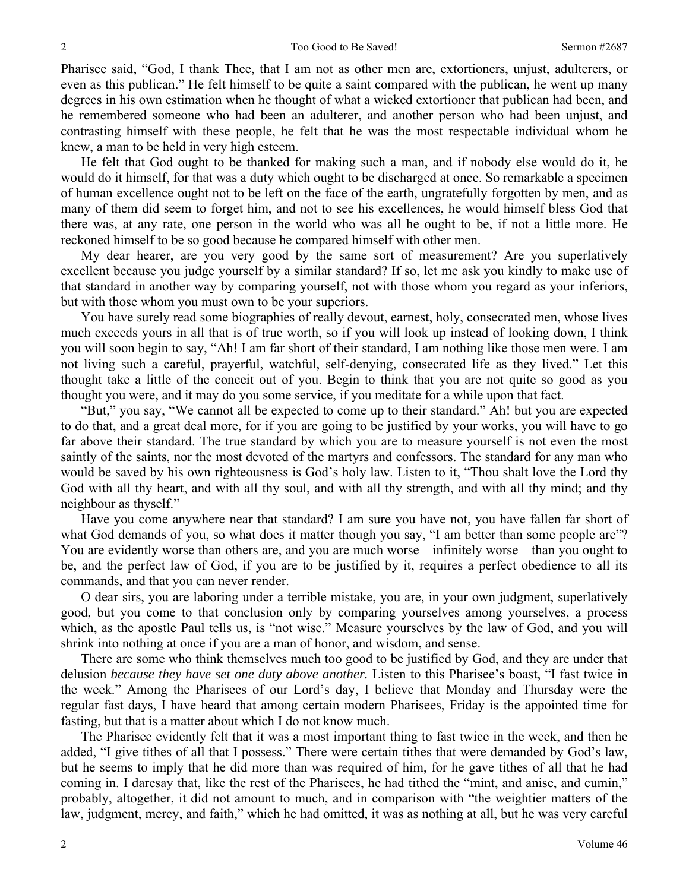Pharisee said, "God, I thank Thee, that I am not as other men are, extortioners, unjust, adulterers, or even as this publican." He felt himself to be quite a saint compared with the publican, he went up many degrees in his own estimation when he thought of what a wicked extortioner that publican had been, and he remembered someone who had been an adulterer, and another person who had been unjust, and contrasting himself with these people, he felt that he was the most respectable individual whom he knew, a man to be held in very high esteem.

He felt that God ought to be thanked for making such a man, and if nobody else would do it, he would do it himself, for that was a duty which ought to be discharged at once. So remarkable a specimen of human excellence ought not to be left on the face of the earth, ungratefully forgotten by men, and as many of them did seem to forget him, and not to see his excellences, he would himself bless God that there was, at any rate, one person in the world who was all he ought to be, if not a little more. He reckoned himself to be so good because he compared himself with other men.

My dear hearer, are you very good by the same sort of measurement? Are you superlatively excellent because you judge yourself by a similar standard? If so, let me ask you kindly to make use of that standard in another way by comparing yourself, not with those whom you regard as your inferiors, but with those whom you must own to be your superiors.

You have surely read some biographies of really devout, earnest, holy, consecrated men, whose lives much exceeds yours in all that is of true worth, so if you will look up instead of looking down, I think you will soon begin to say, "Ah! I am far short of their standard, I am nothing like those men were. I am not living such a careful, prayerful, watchful, self-denying, consecrated life as they lived." Let this thought take a little of the conceit out of you. Begin to think that you are not quite so good as you thought you were, and it may do you some service, if you meditate for a while upon that fact.

"But," you say, "We cannot all be expected to come up to their standard." Ah! but you are expected to do that, and a great deal more, for if you are going to be justified by your works, you will have to go far above their standard. The true standard by which you are to measure yourself is not even the most saintly of the saints, nor the most devoted of the martyrs and confessors. The standard for any man who would be saved by his own righteousness is God's holy law. Listen to it, "Thou shalt love the Lord thy God with all thy heart, and with all thy soul, and with all thy strength, and with all thy mind; and thy neighbour as thyself."

Have you come anywhere near that standard? I am sure you have not, you have fallen far short of what God demands of you, so what does it matter though you say, "I am better than some people are"? You are evidently worse than others are, and you are much worse—infinitely worse—than you ought to be, and the perfect law of God, if you are to be justified by it, requires a perfect obedience to all its commands, and that you can never render.

O dear sirs, you are laboring under a terrible mistake, you are, in your own judgment, superlatively good, but you come to that conclusion only by comparing yourselves among yourselves, a process which, as the apostle Paul tells us, is "not wise." Measure yourselves by the law of God, and you will shrink into nothing at once if you are a man of honor, and wisdom, and sense.

There are some who think themselves much too good to be justified by God, and they are under that delusion *because they have set one duty above another.* Listen to this Pharisee's boast, "I fast twice in the week." Among the Pharisees of our Lord's day, I believe that Monday and Thursday were the regular fast days, I have heard that among certain modern Pharisees, Friday is the appointed time for fasting, but that is a matter about which I do not know much.

The Pharisee evidently felt that it was a most important thing to fast twice in the week, and then he added, "I give tithes of all that I possess." There were certain tithes that were demanded by God's law, but he seems to imply that he did more than was required of him, for he gave tithes of all that he had coming in. I daresay that, like the rest of the Pharisees, he had tithed the "mint, and anise, and cumin," probably, altogether, it did not amount to much, and in comparison with "the weightier matters of the law, judgment, mercy, and faith," which he had omitted, it was as nothing at all, but he was very careful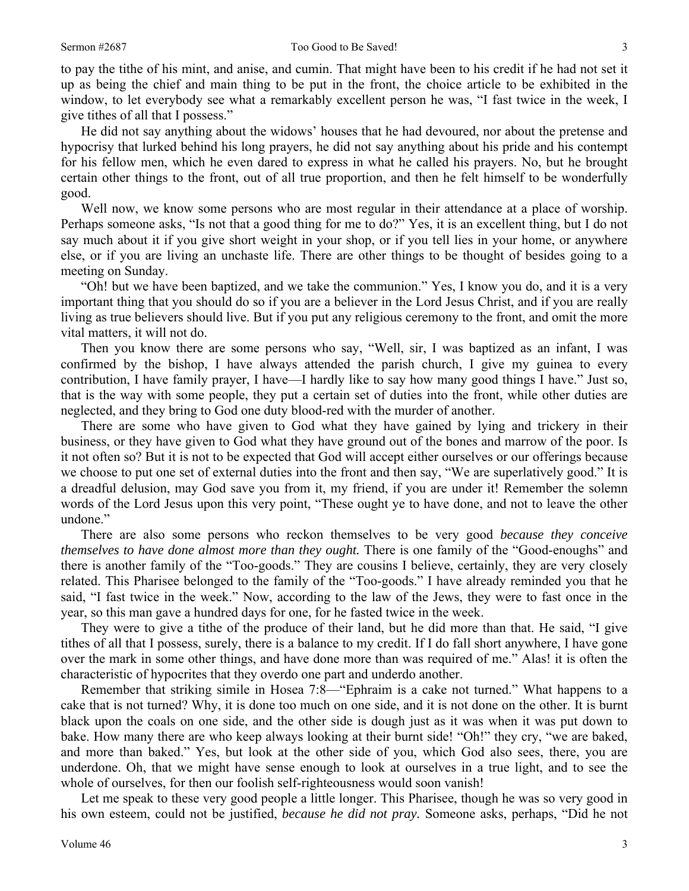to pay the tithe of his mint, and anise, and cumin. That might have been to his credit if he had not set it up as being the chief and main thing to be put in the front, the choice article to be exhibited in the window, to let everybody see what a remarkably excellent person he was, "I fast twice in the week, I give tithes of all that I possess."

He did not say anything about the widows' houses that he had devoured, nor about the pretense and hypocrisy that lurked behind his long prayers, he did not say anything about his pride and his contempt for his fellow men, which he even dared to express in what he called his prayers. No, but he brought certain other things to the front, out of all true proportion, and then he felt himself to be wonderfully good.

Well now, we know some persons who are most regular in their attendance at a place of worship. Perhaps someone asks, "Is not that a good thing for me to do?" Yes, it is an excellent thing, but I do not say much about it if you give short weight in your shop, or if you tell lies in your home, or anywhere else, or if you are living an unchaste life. There are other things to be thought of besides going to a meeting on Sunday.

"Oh! but we have been baptized, and we take the communion." Yes, I know you do, and it is a very important thing that you should do so if you are a believer in the Lord Jesus Christ, and if you are really living as true believers should live. But if you put any religious ceremony to the front, and omit the more vital matters, it will not do.

Then you know there are some persons who say, "Well, sir, I was baptized as an infant, I was confirmed by the bishop, I have always attended the parish church, I give my guinea to every contribution, I have family prayer, I have—I hardly like to say how many good things I have." Just so, that is the way with some people, they put a certain set of duties into the front, while other duties are neglected, and they bring to God one duty blood-red with the murder of another.

There are some who have given to God what they have gained by lying and trickery in their business, or they have given to God what they have ground out of the bones and marrow of the poor. Is it not often so? But it is not to be expected that God will accept either ourselves or our offerings because we choose to put one set of external duties into the front and then say, "We are superlatively good." It is a dreadful delusion, may God save you from it, my friend, if you are under it! Remember the solemn words of the Lord Jesus upon this very point, "These ought ye to have done, and not to leave the other undone."

There are also some persons who reckon themselves to be very good *because they conceive themselves to have done almost more than they ought.* There is one family of the "Good-enoughs" and there is another family of the "Too-goods." They are cousins I believe, certainly, they are very closely related. This Pharisee belonged to the family of the "Too-goods." I have already reminded you that he said, "I fast twice in the week." Now, according to the law of the Jews, they were to fast once in the year, so this man gave a hundred days for one, for he fasted twice in the week.

They were to give a tithe of the produce of their land, but he did more than that. He said, "I give tithes of all that I possess, surely, there is a balance to my credit. If I do fall short anywhere, I have gone over the mark in some other things, and have done more than was required of me." Alas! it is often the characteristic of hypocrites that they overdo one part and underdo another.

Remember that striking simile in Hosea 7:8—"Ephraim is a cake not turned." What happens to a cake that is not turned? Why, it is done too much on one side, and it is not done on the other. It is burnt black upon the coals on one side, and the other side is dough just as it was when it was put down to bake. How many there are who keep always looking at their burnt side! "Oh!" they cry, "we are baked, and more than baked." Yes, but look at the other side of you, which God also sees, there, you are underdone. Oh, that we might have sense enough to look at ourselves in a true light, and to see the whole of ourselves, for then our foolish self-righteousness would soon vanish!

Let me speak to these very good people a little longer. This Pharisee, though he was so very good in his own esteem, could not be justified, *because he did not pray.* Someone asks, perhaps, "Did he not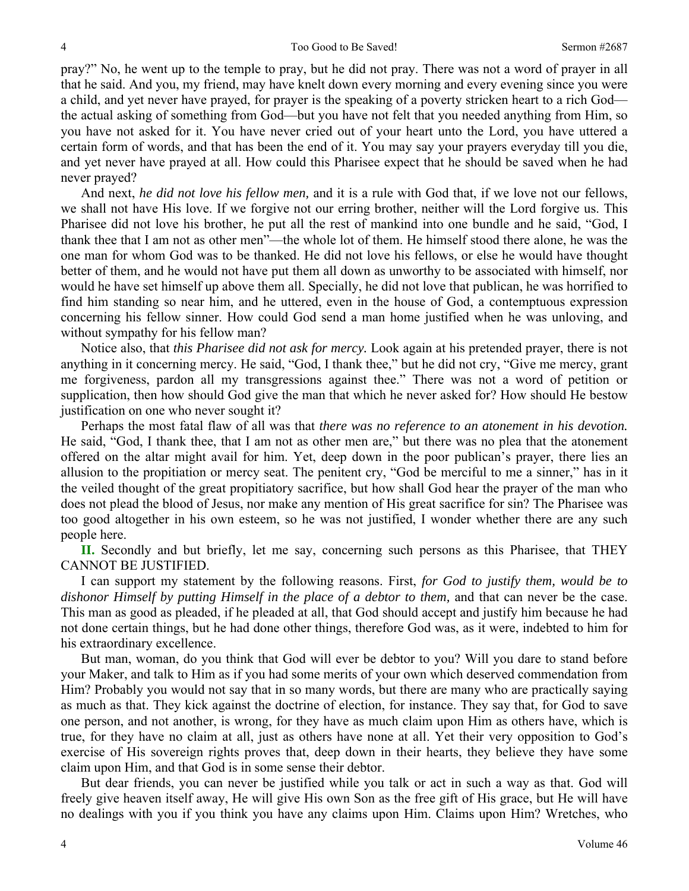pray?" No, he went up to the temple to pray, but he did not pray. There was not a word of prayer in all that he said. And you, my friend, may have knelt down every morning and every evening since you were a child, and yet never have prayed, for prayer is the speaking of a poverty stricken heart to a rich God the actual asking of something from God—but you have not felt that you needed anything from Him, so you have not asked for it. You have never cried out of your heart unto the Lord, you have uttered a certain form of words, and that has been the end of it. You may say your prayers everyday till you die, and yet never have prayed at all. How could this Pharisee expect that he should be saved when he had never prayed?

And next, *he did not love his fellow men,* and it is a rule with God that, if we love not our fellows, we shall not have His love. If we forgive not our erring brother, neither will the Lord forgive us. This Pharisee did not love his brother, he put all the rest of mankind into one bundle and he said, "God, I thank thee that I am not as other men"—the whole lot of them. He himself stood there alone, he was the one man for whom God was to be thanked. He did not love his fellows, or else he would have thought better of them, and he would not have put them all down as unworthy to be associated with himself, nor would he have set himself up above them all. Specially, he did not love that publican, he was horrified to find him standing so near him, and he uttered, even in the house of God, a contemptuous expression concerning his fellow sinner. How could God send a man home justified when he was unloving, and without sympathy for his fellow man?

Notice also, that *this Pharisee did not ask for mercy.* Look again at his pretended prayer, there is not anything in it concerning mercy. He said, "God, I thank thee," but he did not cry, "Give me mercy, grant me forgiveness, pardon all my transgressions against thee." There was not a word of petition or supplication, then how should God give the man that which he never asked for? How should He bestow justification on one who never sought it?

Perhaps the most fatal flaw of all was that *there was no reference to an atonement in his devotion.*  He said, "God, I thank thee, that I am not as other men are," but there was no plea that the atonement offered on the altar might avail for him. Yet, deep down in the poor publican's prayer, there lies an allusion to the propitiation or mercy seat. The penitent cry, "God be merciful to me a sinner," has in it the veiled thought of the great propitiatory sacrifice, but how shall God hear the prayer of the man who does not plead the blood of Jesus, nor make any mention of His great sacrifice for sin? The Pharisee was too good altogether in his own esteem, so he was not justified, I wonder whether there are any such people here.

**II.** Secondly and but briefly, let me say, concerning such persons as this Pharisee, that THEY CANNOT BE JUSTIFIED.

I can support my statement by the following reasons. First, *for God to justify them, would be to dishonor Himself by putting Himself in the place of a debtor to them,* and that can never be the case. This man as good as pleaded, if he pleaded at all, that God should accept and justify him because he had not done certain things, but he had done other things, therefore God was, as it were, indebted to him for his extraordinary excellence.

But man, woman, do you think that God will ever be debtor to you? Will you dare to stand before your Maker, and talk to Him as if you had some merits of your own which deserved commendation from Him? Probably you would not say that in so many words, but there are many who are practically saying as much as that. They kick against the doctrine of election, for instance. They say that, for God to save one person, and not another, is wrong, for they have as much claim upon Him as others have, which is true, for they have no claim at all, just as others have none at all. Yet their very opposition to God's exercise of His sovereign rights proves that, deep down in their hearts, they believe they have some claim upon Him, and that God is in some sense their debtor.

But dear friends, you can never be justified while you talk or act in such a way as that. God will freely give heaven itself away, He will give His own Son as the free gift of His grace, but He will have no dealings with you if you think you have any claims upon Him. Claims upon Him? Wretches, who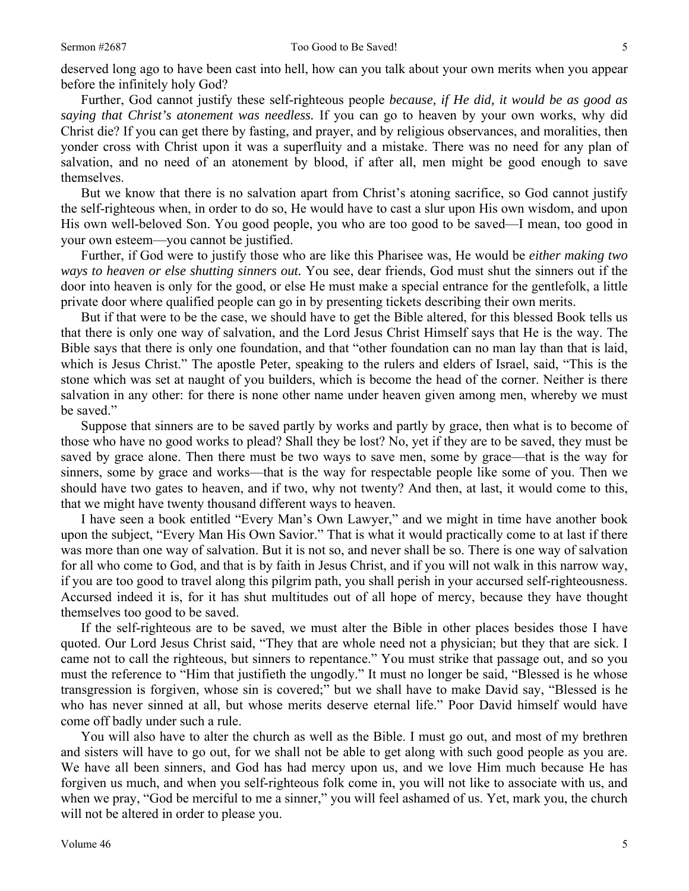deserved long ago to have been cast into hell, how can you talk about your own merits when you appear before the infinitely holy God?

Further, God cannot justify these self-righteous people *because, if He did, it would be as good as saying that Christ's atonement was needless.* If you can go to heaven by your own works, why did Christ die? If you can get there by fasting, and prayer, and by religious observances, and moralities, then yonder cross with Christ upon it was a superfluity and a mistake. There was no need for any plan of salvation, and no need of an atonement by blood, if after all, men might be good enough to save themselves.

But we know that there is no salvation apart from Christ's atoning sacrifice, so God cannot justify the self-righteous when, in order to do so, He would have to cast a slur upon His own wisdom, and upon His own well-beloved Son. You good people, you who are too good to be saved—I mean, too good in your own esteem—you cannot be justified.

Further, if God were to justify those who are like this Pharisee was, He would be *either making two ways to heaven or else shutting sinners out.* You see, dear friends, God must shut the sinners out if the door into heaven is only for the good, or else He must make a special entrance for the gentlefolk, a little private door where qualified people can go in by presenting tickets describing their own merits.

But if that were to be the case, we should have to get the Bible altered, for this blessed Book tells us that there is only one way of salvation, and the Lord Jesus Christ Himself says that He is the way. The Bible says that there is only one foundation, and that "other foundation can no man lay than that is laid, which is Jesus Christ." The apostle Peter, speaking to the rulers and elders of Israel, said, "This is the stone which was set at naught of you builders, which is become the head of the corner. Neither is there salvation in any other: for there is none other name under heaven given among men, whereby we must be saved."

Suppose that sinners are to be saved partly by works and partly by grace, then what is to become of those who have no good works to plead? Shall they be lost? No, yet if they are to be saved, they must be saved by grace alone. Then there must be two ways to save men, some by grace—that is the way for sinners, some by grace and works—that is the way for respectable people like some of you. Then we should have two gates to heaven, and if two, why not twenty? And then, at last, it would come to this, that we might have twenty thousand different ways to heaven.

I have seen a book entitled "Every Man's Own Lawyer," and we might in time have another book upon the subject, "Every Man His Own Savior." That is what it would practically come to at last if there was more than one way of salvation. But it is not so, and never shall be so. There is one way of salvation for all who come to God, and that is by faith in Jesus Christ, and if you will not walk in this narrow way, if you are too good to travel along this pilgrim path, you shall perish in your accursed self-righteousness. Accursed indeed it is, for it has shut multitudes out of all hope of mercy, because they have thought themselves too good to be saved.

If the self-righteous are to be saved, we must alter the Bible in other places besides those I have quoted. Our Lord Jesus Christ said, "They that are whole need not a physician; but they that are sick. I came not to call the righteous, but sinners to repentance." You must strike that passage out, and so you must the reference to "Him that justifieth the ungodly." It must no longer be said, "Blessed is he whose transgression is forgiven, whose sin is covered;" but we shall have to make David say, "Blessed is he who has never sinned at all, but whose merits deserve eternal life." Poor David himself would have come off badly under such a rule.

You will also have to alter the church as well as the Bible. I must go out, and most of my brethren and sisters will have to go out, for we shall not be able to get along with such good people as you are. We have all been sinners, and God has had mercy upon us, and we love Him much because He has forgiven us much, and when you self-righteous folk come in, you will not like to associate with us, and when we pray, "God be merciful to me a sinner," you will feel ashamed of us. Yet, mark you, the church will not be altered in order to please you.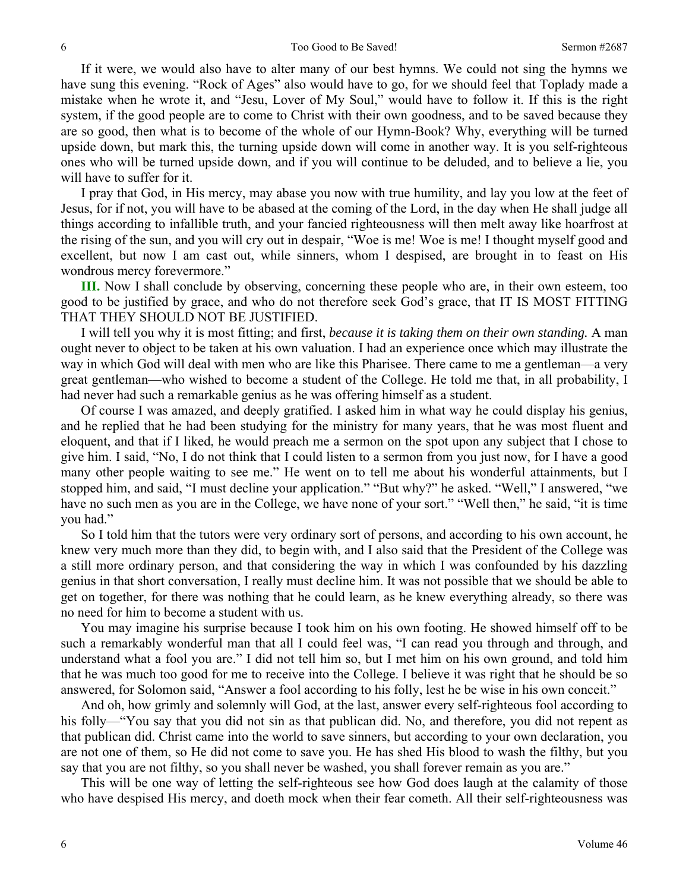If it were, we would also have to alter many of our best hymns. We could not sing the hymns we have sung this evening. "Rock of Ages" also would have to go, for we should feel that Toplady made a mistake when he wrote it, and "Jesu, Lover of My Soul," would have to follow it. If this is the right system, if the good people are to come to Christ with their own goodness, and to be saved because they are so good, then what is to become of the whole of our Hymn-Book? Why, everything will be turned upside down, but mark this, the turning upside down will come in another way. It is you self-righteous ones who will be turned upside down, and if you will continue to be deluded, and to believe a lie, you will have to suffer for it.

I pray that God, in His mercy, may abase you now with true humility, and lay you low at the feet of Jesus, for if not, you will have to be abased at the coming of the Lord, in the day when He shall judge all things according to infallible truth, and your fancied righteousness will then melt away like hoarfrost at the rising of the sun, and you will cry out in despair, "Woe is me! Woe is me! I thought myself good and excellent, but now I am cast out, while sinners, whom I despised, are brought in to feast on His wondrous mercy forevermore."

**III.** Now I shall conclude by observing, concerning these people who are, in their own esteem, too good to be justified by grace, and who do not therefore seek God's grace, that IT IS MOST FITTING THAT THEY SHOULD NOT BE JUSTIFIED.

I will tell you why it is most fitting; and first, *because it is taking them on their own standing.* A man ought never to object to be taken at his own valuation. I had an experience once which may illustrate the way in which God will deal with men who are like this Pharisee. There came to me a gentleman—a very great gentleman—who wished to become a student of the College. He told me that, in all probability, I had never had such a remarkable genius as he was offering himself as a student.

Of course I was amazed, and deeply gratified. I asked him in what way he could display his genius, and he replied that he had been studying for the ministry for many years, that he was most fluent and eloquent, and that if I liked, he would preach me a sermon on the spot upon any subject that I chose to give him. I said, "No, I do not think that I could listen to a sermon from you just now, for I have a good many other people waiting to see me." He went on to tell me about his wonderful attainments, but I stopped him, and said, "I must decline your application." "But why?" he asked. "Well," I answered, "we have no such men as you are in the College, we have none of your sort." "Well then," he said, "it is time you had."

So I told him that the tutors were very ordinary sort of persons, and according to his own account, he knew very much more than they did, to begin with, and I also said that the President of the College was a still more ordinary person, and that considering the way in which I was confounded by his dazzling genius in that short conversation, I really must decline him. It was not possible that we should be able to get on together, for there was nothing that he could learn, as he knew everything already, so there was no need for him to become a student with us.

You may imagine his surprise because I took him on his own footing. He showed himself off to be such a remarkably wonderful man that all I could feel was, "I can read you through and through, and understand what a fool you are." I did not tell him so, but I met him on his own ground, and told him that he was much too good for me to receive into the College. I believe it was right that he should be so answered, for Solomon said, "Answer a fool according to his folly, lest he be wise in his own conceit."

And oh, how grimly and solemnly will God, at the last, answer every self-righteous fool according to his folly—"You say that you did not sin as that publican did. No, and therefore, you did not repent as that publican did. Christ came into the world to save sinners, but according to your own declaration, you are not one of them, so He did not come to save you. He has shed His blood to wash the filthy, but you say that you are not filthy, so you shall never be washed, you shall forever remain as you are."

This will be one way of letting the self-righteous see how God does laugh at the calamity of those who have despised His mercy, and doeth mock when their fear cometh. All their self-righteousness was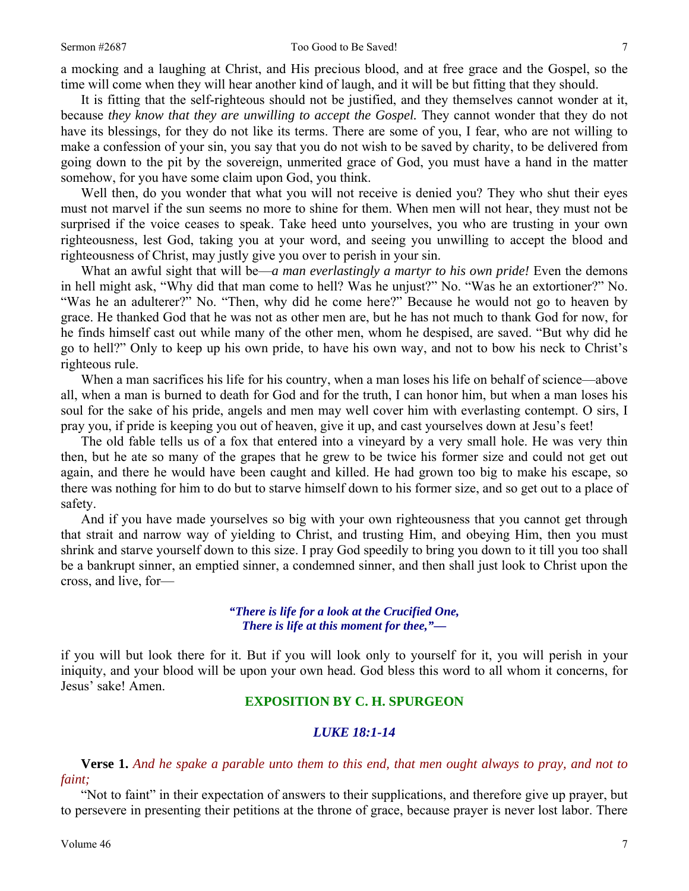a mocking and a laughing at Christ, and His precious blood, and at free grace and the Gospel, so the time will come when they will hear another kind of laugh, and it will be but fitting that they should.

It is fitting that the self-righteous should not be justified, and they themselves cannot wonder at it, because *they know that they are unwilling to accept the Gospel*. They cannot wonder that they do not have its blessings, for they do not like its terms. There are some of you, I fear, who are not willing to make a confession of your sin, you say that you do not wish to be saved by charity, to be delivered from going down to the pit by the sovereign, unmerited grace of God, you must have a hand in the matter somehow, for you have some claim upon God, you think.

Well then, do you wonder that what you will not receive is denied you? They who shut their eyes must not marvel if the sun seems no more to shine for them. When men will not hear, they must not be surprised if the voice ceases to speak. Take heed unto yourselves, you who are trusting in your own righteousness, lest God, taking you at your word, and seeing you unwilling to accept the blood and righteousness of Christ, may justly give you over to perish in your sin.

What an awful sight that will be—*a man everlastingly a martyr to his own pride!* Even the demons in hell might ask, "Why did that man come to hell? Was he unjust?" No. "Was he an extortioner?" No. "Was he an adulterer?" No. "Then, why did he come here?" Because he would not go to heaven by grace. He thanked God that he was not as other men are, but he has not much to thank God for now, for he finds himself cast out while many of the other men, whom he despised, are saved. "But why did he go to hell?" Only to keep up his own pride, to have his own way, and not to bow his neck to Christ's righteous rule.

When a man sacrifices his life for his country, when a man loses his life on behalf of science—above all, when a man is burned to death for God and for the truth, I can honor him, but when a man loses his soul for the sake of his pride, angels and men may well cover him with everlasting contempt. O sirs, I pray you, if pride is keeping you out of heaven, give it up, and cast yourselves down at Jesu's feet!

The old fable tells us of a fox that entered into a vineyard by a very small hole. He was very thin then, but he ate so many of the grapes that he grew to be twice his former size and could not get out again, and there he would have been caught and killed. He had grown too big to make his escape, so there was nothing for him to do but to starve himself down to his former size, and so get out to a place of safety.

And if you have made yourselves so big with your own righteousness that you cannot get through that strait and narrow way of yielding to Christ, and trusting Him, and obeying Him, then you must shrink and starve yourself down to this size. I pray God speedily to bring you down to it till you too shall be a bankrupt sinner, an emptied sinner, a condemned sinner, and then shall just look to Christ upon the cross, and live, for—

#### *"There is life for a look at the Crucified One, There is life at this moment for thee,"—*

if you will but look there for it. But if you will look only to yourself for it, you will perish in your iniquity, and your blood will be upon your own head. God bless this word to all whom it concerns, for Jesus' sake! Amen.

#### **EXPOSITION BY C. H. SPURGEON**

#### *LUKE 18:1-14*

**Verse 1.** *And he spake a parable unto them to this end, that men ought always to pray, and not to faint;* 

"Not to faint" in their expectation of answers to their supplications, and therefore give up prayer, but to persevere in presenting their petitions at the throne of grace, because prayer is never lost labor. There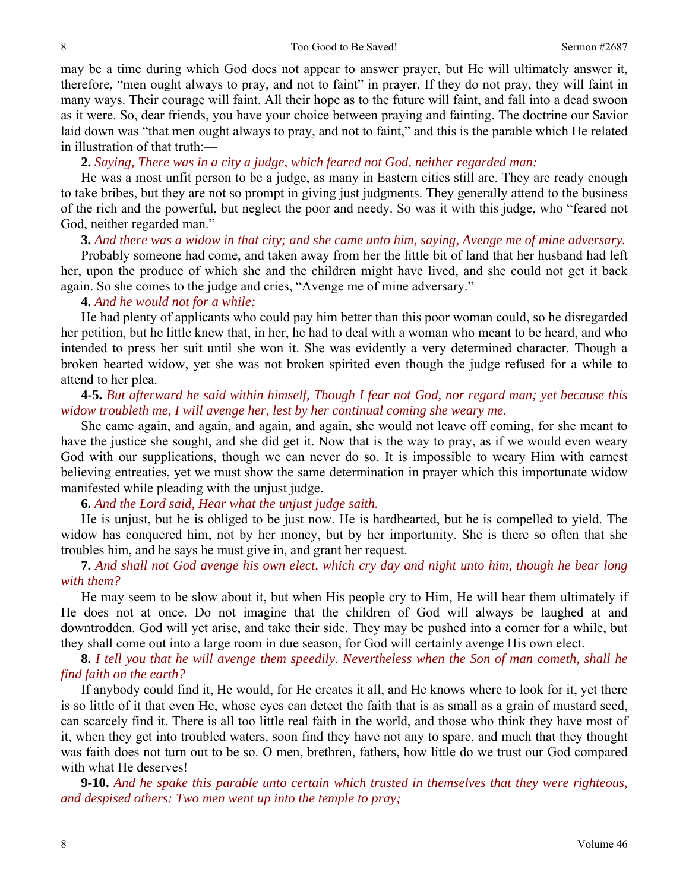may be a time during which God does not appear to answer prayer, but He will ultimately answer it, therefore, "men ought always to pray, and not to faint" in prayer. If they do not pray, they will faint in many ways. Their courage will faint. All their hope as to the future will faint, and fall into a dead swoon as it were. So, dear friends, you have your choice between praying and fainting. The doctrine our Savior laid down was "that men ought always to pray, and not to faint," and this is the parable which He related in illustration of that truth:—

### **2.** *Saying, There was in a city a judge, which feared not God, neither regarded man:*

He was a most unfit person to be a judge, as many in Eastern cities still are. They are ready enough to take bribes, but they are not so prompt in giving just judgments. They generally attend to the business of the rich and the powerful, but neglect the poor and needy. So was it with this judge, who "feared not God, neither regarded man."

#### **3.** *And there was a widow in that city; and she came unto him, saying, Avenge me of mine adversary.*

Probably someone had come, and taken away from her the little bit of land that her husband had left her, upon the produce of which she and the children might have lived, and she could not get it back again. So she comes to the judge and cries, "Avenge me of mine adversary."

#### **4.** *And he would not for a while:*

He had plenty of applicants who could pay him better than this poor woman could, so he disregarded her petition, but he little knew that, in her, he had to deal with a woman who meant to be heard, and who intended to press her suit until she won it. She was evidently a very determined character. Though a broken hearted widow, yet she was not broken spirited even though the judge refused for a while to attend to her plea.

### **4-5.** *But afterward he said within himself, Though I fear not God, nor regard man; yet because this widow troubleth me, I will avenge her, lest by her continual coming she weary me.*

She came again, and again, and again, and again, she would not leave off coming, for she meant to have the justice she sought, and she did get it. Now that is the way to pray, as if we would even weary God with our supplications, though we can never do so. It is impossible to weary Him with earnest believing entreaties, yet we must show the same determination in prayer which this importunate widow manifested while pleading with the unjust judge.

### **6.** *And the Lord said, Hear what the unjust judge saith.*

He is unjust, but he is obliged to be just now. He is hardhearted, but he is compelled to yield. The widow has conquered him, not by her money, but by her importunity. She is there so often that she troubles him, and he says he must give in, and grant her request.

## **7.** *And shall not God avenge his own elect, which cry day and night unto him, though he bear long with them?*

He may seem to be slow about it, but when His people cry to Him, He will hear them ultimately if He does not at once. Do not imagine that the children of God will always be laughed at and downtrodden. God will yet arise, and take their side. They may be pushed into a corner for a while, but they shall come out into a large room in due season, for God will certainly avenge His own elect.

## **8.** *I tell you that he will avenge them speedily. Nevertheless when the Son of man cometh, shall he find faith on the earth?*

If anybody could find it, He would, for He creates it all, and He knows where to look for it, yet there is so little of it that even He, whose eyes can detect the faith that is as small as a grain of mustard seed, can scarcely find it. There is all too little real faith in the world, and those who think they have most of it, when they get into troubled waters, soon find they have not any to spare, and much that they thought was faith does not turn out to be so. O men, brethren, fathers, how little do we trust our God compared with what He deserves!

**9-10.** *And he spake this parable unto certain which trusted in themselves that they were righteous, and despised others: Two men went up into the temple to pray;*